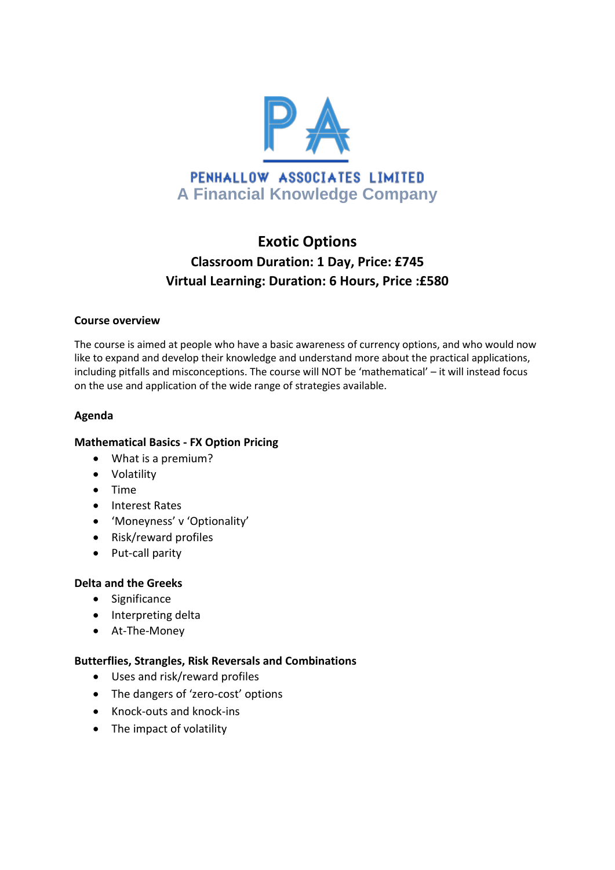

# **Exotic Options Classroom Duration: 1 Day, Price: £745 Virtual Learning: Duration: 6 Hours, Price :£580**

#### **Course overview**

The course is aimed at people who have a basic awareness of currency options, and who would now like to expand and develop their knowledge and understand more about the practical applications, including pitfalls and misconceptions. The course will NOT be 'mathematical' – it will instead focus on the use and application of the wide range of strategies available.

## **Agenda**

#### **Mathematical Basics - FX Option Pricing**

- What is a premium?
- Volatility
- Time
- Interest Rates
- 'Moneyness' v 'Optionality'
- Risk/reward profiles
- Put-call parity

#### **Delta and the Greeks**

- Significance
- Interpreting delta
- At-The-Money

#### **Butterflies, Strangles, Risk Reversals and Combinations**

- Uses and risk/reward profiles
- The dangers of 'zero-cost' options
- Knock-outs and knock-ins
- The impact of volatility